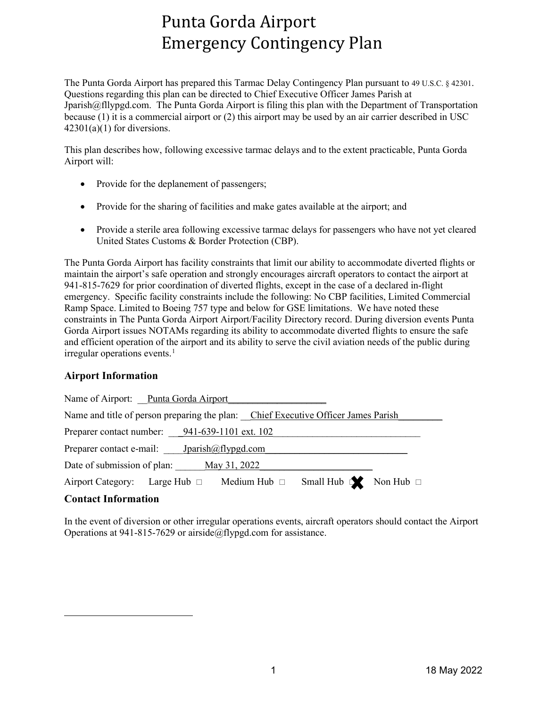# Punta Gorda Airport Emergency Contingency Plan

The Punta Gorda Airport has prepared this Tarmac Delay Contingency Plan pursuant to 49 U.S.C. § 42301. Questions regarding this plan can be directed to Chief Executive Officer James Parish at Jparish@fllypgd.com. The Punta Gorda Airport is filing this plan with the Department of Transportation because (1) it is a commercial airport or (2) this airport may be used by an air carrier described in USC  $42301(a)(1)$  for diversions.

This plan describes how, following excessive tarmac delays and to the extent practicable, Punta Gorda Airport will:

- Provide for the deplanement of passengers;
- Provide for the sharing of facilities and make gates available at the airport; and
- Provide a sterile area following excessive tarmac delays for passengers who have not yet cleared United States Customs & Border Protection (CBP).

The Punta Gorda Airport has facility constraints that limit our ability to accommodate diverted flights or maintain the airport's safe operation and strongly encourages aircraft operators to contact the airport at 941-815-7629 for prior coordination of diverted flights, except in the case of a declared in-flight emergency. Specific facility constraints include the following: No CBP facilities, Limited Commercial Ramp Space. Limited to Boeing 757 type and below for GSE limitations. We have noted these constraints in The Punta Gorda Airport Airport/Facility Directory record. During diversion events Punta Gorda Airport issues NOTAMs regarding its ability to accommodate diverted flights to ensure the safe and efficient operation of the airport and its ability to serve the civil aviation needs of the public during  $irregular operations events.<sup>1</sup>$  $irregular operations events.<sup>1</sup>$  $irregular operations events.<sup>1</sup>$ 

## **Airport Information**

| Name of Airport: Punta Gorda Airport                                                                                                                                                                                                                                                                                            |  |                                    |                                       |  |
|---------------------------------------------------------------------------------------------------------------------------------------------------------------------------------------------------------------------------------------------------------------------------------------------------------------------------------|--|------------------------------------|---------------------------------------|--|
| Name and title of person preparing the plan: Chief Executive Officer James Parish                                                                                                                                                                                                                                               |  |                                    |                                       |  |
| Preparer contact number: 941-639-1101 ext. 102                                                                                                                                                                                                                                                                                  |  |                                    |                                       |  |
| Preparer contact e-mail: $\qquad \qquad$ $\qquad$ $\qquad$ $\qquad$ $\qquad$ $\qquad$ $\qquad$ $\qquad$ $\qquad$ $\qquad$ $\qquad$ $\qquad$ $\qquad$ $\qquad$ $\qquad$ $\qquad$ $\qquad$ $\qquad$ $\qquad$ $\qquad$ $\qquad$ $\qquad$ $\qquad$ $\qquad$ $\qquad$ $\qquad$ $\qquad$ $\qquad$ $\qquad$ $\qquad$ $\qquad$ $\qquad$ |  |                                    |                                       |  |
| Date of submission of plan: May 31, 2022                                                                                                                                                                                                                                                                                        |  |                                    |                                       |  |
| Airport Category:                                                                                                                                                                                                                                                                                                               |  | Large Hub $\Box$ Medium Hub $\Box$ | Small Hub $\mathbb{R}$ Non Hub $\Box$ |  |

## **Contact Information**

<span id="page-0-0"></span>In the event of diversion or other irregular operations events, aircraft operators should contact the Airport Operations at 941-815-7629 or airside $@$ flypgd.com for assistance.